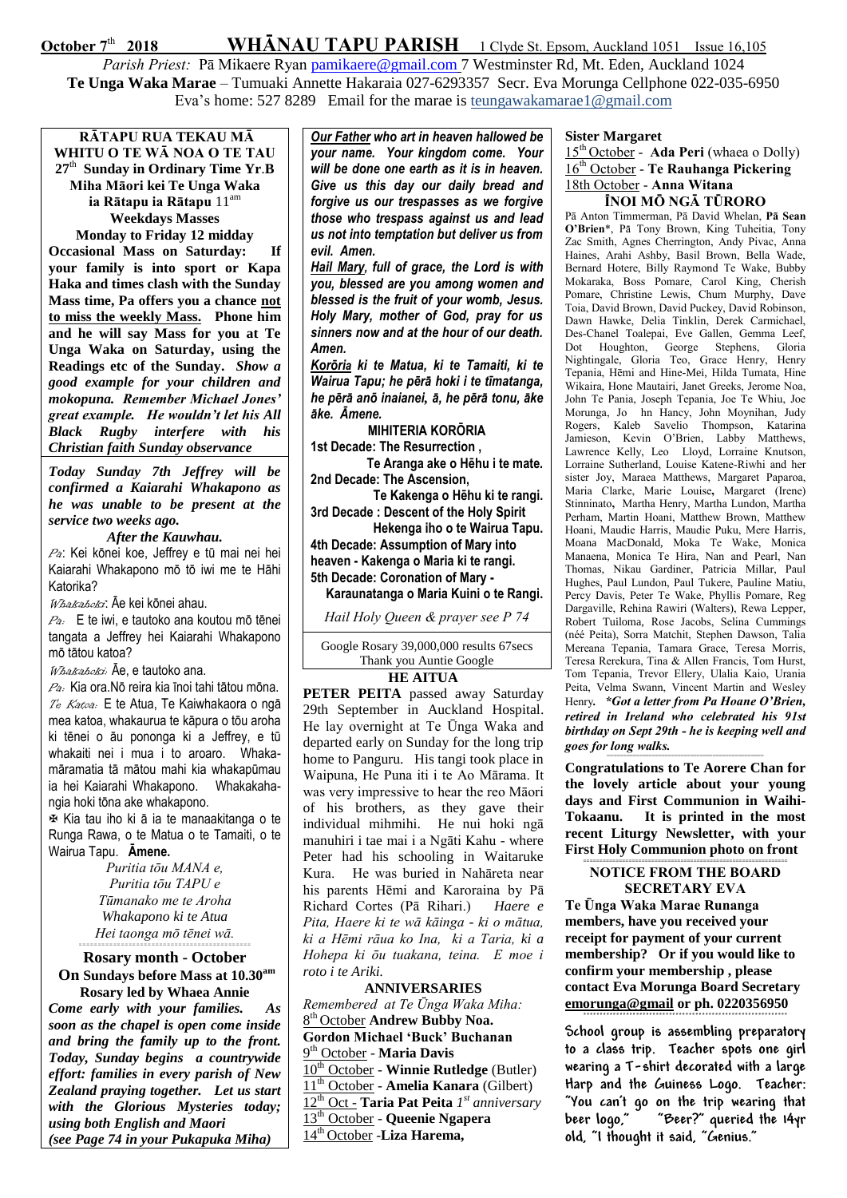**October 7<sup>th</sup> 2018** WHANAU TAPU PARISH 1 Clyde St. Epsom, Auckland 1051 Issue 16,105

Parish Priest: Pā Mikaere Ryan [pamikaere@gmail.com](mailto:pamikaere@gmail.co) 7 Westminster Rd, Mt. Eden, Auckland 1024 **Te Unga Waka Marae** – Tumuaki Annette Hakaraia 027-6293357 Secr. Eva Morunga Cellphone 022-035-6950 Eva's home: 527 8289 Email for the marae is teungawakamarae1@gmail.com

**RĀTAPU RUA TEKAU MĀ WHITU O TE WĀ NOA O TE TAU 27** th **Sunday in Ordinary Time Yr**.**B Miha Māori kei Te Unga Waka ia Rātapu ia Rātapu** 11am **Weekdays Masses** 

**Monday to Friday 12 midday Occasional Mass on Saturday: If your family is into sport or Kapa Haka and times clash with the Sunday Mass time, Pa offers you a chance not to miss the weekly Mass. Phone him and he will say Mass for you at Te Unga Waka on Saturday, using the Readings etc of the Sunday.** *Show a good example for your children and mokopuna. Remember Michael Jones' great example. He wouldn't let his All Black Rugby interfere with his Christian faith Sunday observance*

*Today Sunday 7th Jeffrey will be confirmed a Kaiarahi Whakapono as he was unable to be present at the service two weeks ago.* 

## *After the Kauwhau.*

Pa: Kei kōnei koe, Jeffrey e tū mai nei hei Kaiarahi Whakapono mō tō iwi me te Hāhi Katorika?

Whakahoki: Āe kei kōnei ahau.

 $P_{\theta}$ : E te iwi, e tautoko ana koutou mō tēnei tangata a Jeffrey hei Kaiarahi Whakapono mō tātou katoa?

Whakahoki: Āe, e tautoko ana.

Pa: Kia ora.Nō reira kia īnoi tahi tātou mōna. Te Katoa. E te Atua, Te Kaiwhakaora o ngā mea katoa, whakaurua te kāpura o tōu aroha ki tēnei o āu pononga ki a Jeffrey, e tū whakaiti nei i mua i to aroaro. Whakamāramatia tā mātou mahi kia whakapūmau ia hei Kaiarahi Whakapono. Whakakahangia hoki tōna ake whakapono.

 Kia tau iho ki ā ia te manaakitanga o te Runga Rawa, o te Matua o te Tamaiti, o te Wairua Tapu. **Āmene.**

Puritia t*ōu MANA e, Puritia tōu TAPU e Tūmanako me te Aroha Whakapono ki te Atua Hei taonga mō tēnei wā.*

## *=============================================* **Rosary month - October**

**On Sundays before Mass at 10.30am Rosary led by Whaea Annie**

*Come early with your families. As soon as the chapel is open come inside and bring the family up to the front. Today, Sunday begins a countrywide effort: families in every parish of New Zealand praying together. Let us start with the Glorious Mysteries today; using both English and Maori (see Page 74 in your Pukapuka Miha)*

*Our Father who art in heaven hallowed be your name. Your kingdom come. Your will be done one earth as it is in heaven. Give us this day our daily bread and forgive us our trespasses as we forgive those who trespass against us and lead us not into temptation but deliver us from evil. Amen.*

*Hail Mary, full of grace, the Lord is with you, blessed are you among women and blessed is the fruit of your womb, Jesus. Holy Mary, mother of God, pray for us sinners now and at the hour of our death. Amen.*

*Korōria ki te Matua, ki te Tamaiti, ki te Wairua Tapu; he pērā hoki i te tīmatanga, he pērā anō inaianei, ā, he pērā tonu, āke āke. Āmene.*

**MIHITERIA KORŌRIA 1st Decade: The Resurrection ,**

**Te Aranga ake o Hēhu i te mate. 2nd Decade: The Ascension,**

**Te Kakenga o Hēhu ki te rangi. 3rd Decade : Descent of the Holy Spirit**

**Hekenga iho o te Wairua Tapu. 4th Decade: Assumption of Mary into** 

**heaven - Kakenga o Maria ki te rangi.**

**5th Decade: Coronation of Mary -**

**Karaunatanga o Maria Kuini o te Rangi.**

Hail Holy Queen & prayer see P 74

Google Rosary 39,000,000 results 67secs Thank you Auntie Google

## **HE AITUA**

**PETER PEITA** passed away Saturday 29th September in Auckland Hospital. He lay overnight at Te Ūnga Waka and departed early on Sunday for the long trip home to Panguru. His tangi took place in Waipuna, He Puna iti i te Ao Mārama. It was very impressive to hear the reo Māori of his brothers, as they gave their individual mihmihi. He nui hoki ngā manuhiri i tae mai i a Ngāti Kahu - where Peter had his schooling in Waitaruke Kura. He was buried in Nahāreta near his parents Hēmi and Karoraina by Pā Richard Cortes (Pā Rihari.) *Haere e Pita, Haere ki te wā kāinga - ki o mātua, ki a Hēmi rāua ko Ina, ki a Taria, ki a Hohepa ki ōu tuakana, teina. E moe i roto i te Ariki.*

## **ANNIVERSARIES**

*Remembered at Te Ūnga Waka Miha:* th October **Andrew Bubby Noa. Gordon Michael 'Buck' Buchanan** th October - **Maria Davis** th October - **Winnie Rutledge** (Butler) th October - **Amelia Kanara** (Gilbert) th Oct - **Taria Pat Peita** *1 st anniversary* th October - **Queenie Ngapera** th October -**Liza Harema,** 

### **Sister Margaret**

15<sup>th</sup> October - Ada Peri (whaea o Dolly) 16<sup>th</sup> October - Te Rauhanga Pickering 18th October - Anna Witana ÏNOI MÖ NGÄ TÜRORO

Pā Anton Timmerman, Pā David Whelan, P**ā** Sean O'Brien\*, Pä Tony Brown, King Tuheitia, Tony Zac Smith, Agnes Cherrington, Andy Pivac, Anna Haines, Arahi Ashby, Basil Brown, Bella Wade, Bernard Hotere, Billy Raymond Te Wake, Bubby Mokaraka, Boss Pomare, Carol King, Cherish Pomare, Christine Lewis, Chum Murphy, Dave Toia, David Brown, David Puckey, David Robinson, Dawn Hawke, Delia Tinklin, Derek Carmichael, Des-Chanel Toalepai, Eve Gallen, Gemma Leef, Dot Houghton, George Stephens, Gloria Nightingale, Gloria Teo, Grace Henry, Henry Tepania, Hēmi and Hine-Mei, Hilda Tumata, Hine Wikaira, Hone Mautairi, Janet Greeks, Jerome Noa, John Te Pania, Joseph Tepania, Joe Te Whiu, Joe Morunga, Jo hn Hancy, John Moynihan, Judy Rogers, Kaleb Savelio Thompson, Katarina Jamieson, Kevin O'Brien, Labby Matthews, Lawrence Kelly, Leo Lloyd, Lorraine Knutson, Lorraine Sutherland, Louise Katene-Riwhi and her sister Joy, Maraea Matthews, Margaret Paparoa, Maria Clarke, Marie Louise, Margaret (Irene) Stinninato, Martha Henry, Martha Lundon, Martha Perham, Martin Hoani, Matthew Brown, Matthew Hoani, Maudie Harris, Maudie Puku, Mere Harris, Moana MacDonald, Moka Te Wake, Monica Manaena, Monica Te Hira, Nan and Pearl, Nan Thomas, Nikau Gardiner, Patricia Millar, Paul Hughes, Paul Lundon, Paul Tukere, Pauline Matiu, Percy Davis, Peter Te Wake, Phyllis Pomare, Reg Dargaville, Rehina Rawiri (Walters), Rewa Lepper, Robert Tuiloma, Rose Jacobs, Selina Cummings (néé Peita), Sorra Matchit, Stephen Dawson, Talia Mereana Tepania, Tamara Grace, Teresa Morris, Teresa Rerekura, Tina & Allen Francis, Tom Hurst, Tom Tepania, Trevor Ellery, Ulalia Kaio, Urania Peita, Velma Swann, Vincent Martin and Wesley Henry. \*Got a letter from Pa Hoane O'Brien, retired in Ireland who celebrated his 91st birthday on Sept 29th - he is keeping well and goes for long walks.

**Congratulations to Te Aorere Chan for the lovely article about your young days and First Communion in Waihi-Tokaanu. It is printed in the most recent Liturgy Newsletter, with your First Holy Communion photo on front**

=================================================

#### **===============================================================** NOTICE FROM THE BOARD SECRETARY EVA

Te **Ūnga Waka Marae Runanga members, have you received your receipt for payment of your current membership? Or if you would like to confirm your membership , please contact Eva Morunga Board Secretary emorunga@gmail or ph. 0220356950 ==============================================================**

**School group is assembling preparatory to a class trip. Teacher spots one girl wearing a T-shirt decorated with a large Harp and the Guiness Logo. Teacher: "You can't go on the trip wearing that beer logo," "Beer?" queried the 14yr old, "I thought it said, "Genius."**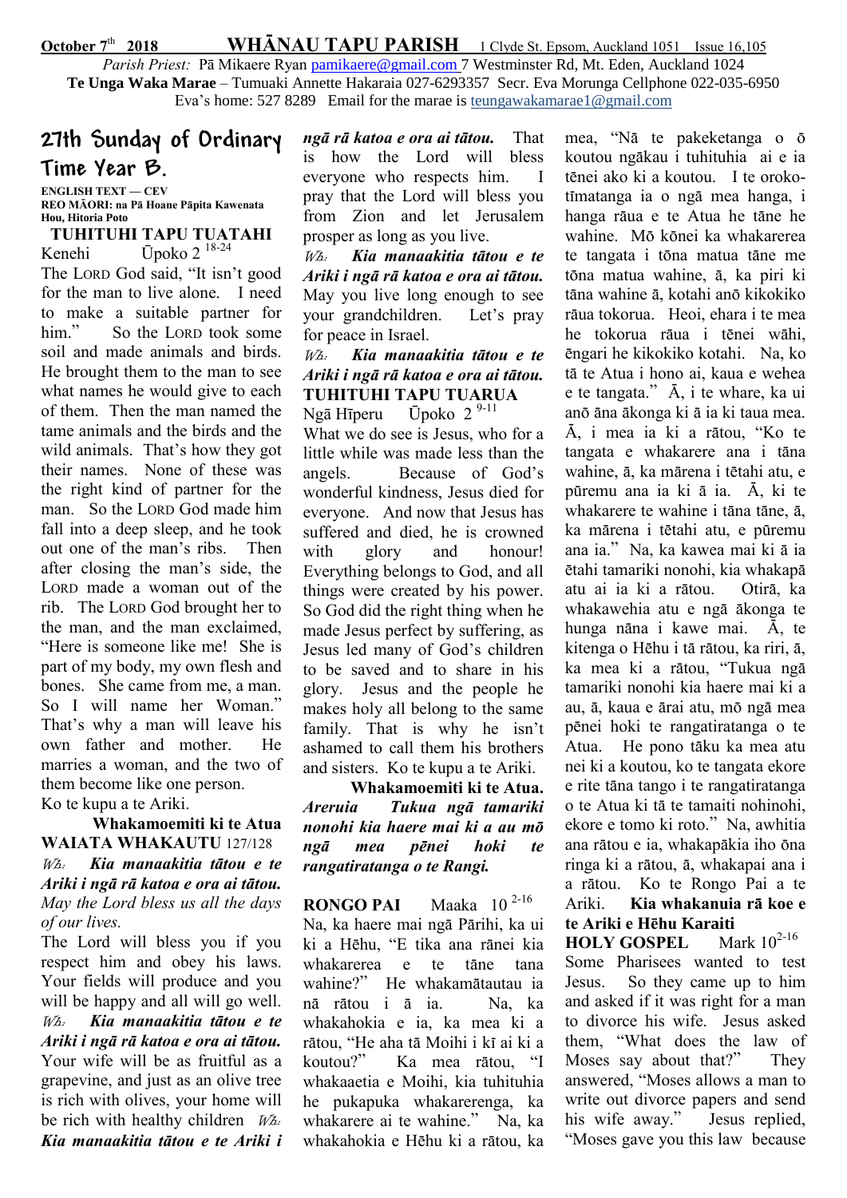#### October 7<sup>th</sup> 2018 WHÄNAU TAPU PARISH 1 Clyde St. Epsom, Auckland 1051 Issue 16,105

Parish Priest: Pā Mikaere Ryan [pamikaere@gmail.com](mailto:pamikaere@gmail.co) 7 Westminster Rd, Mt. Eden, Auckland 1024 **Te Unga Waka Marae** – Tumuaki Annette Hakaraia 027-6293357 Secr. Eva Morunga Cellphone 022-035-6950 Eva's home: 527 8289 Email for the marae is teungawakamarae1@gmail.com

# **27th Sunday of Ordinary Time Year B.**

ENGLISH TEXT — CEV REO M**ĀORI: na Pā Hoane Pāpita Kawenata Hou, Hitoria Poto**

TUHITUHI TAPU TUATAHI Kenehi Ūpoko 2 18-24 The LORD God said, "It isn't good for the man to live alone. I need to make a suitable partner for him." So the LORD took some soil and made animals and birds. He brought them to the man to see what names he would give to each of them. Then the man named the tame animals and the birds and the wild animals. That's how they got their names. None of these was the right kind of partner for the man. So the LORD God made him fall into a deep sleep, and he took out one of the man's ribs. Then after closing the man's side, the LORD made a woman out of the rib. The LORD God brought her to the man, and the man exclaimed, "Here is someone like me! She is part of my body, my own flesh and bones. She came from me, a man. So I will name her Woman." That's why a man will leave his own father and mother. He marries a woman, and the two of them become like one person. Ko te kupu a te Ariki.

# Whakamoemiti ki te Atua WAIATA WHAKAUTU 127/128 Wh: Kia manaakitia tätou e te Ariki i ngä rä katoa e ora ai tätou. May the Lord bless us all the days of our lives.

The Lord will bless you if you respect him and obey his laws. Your fields will produce and you will be happy and all will go well. Wh: Kia manaakitia tätou e te Ariki i ngä rä katoa e ora ai tätou. Your wife will be as fruitful as a grapevine, and just as an olive tree is rich with olives, your home will be rich with healthy children  $W_{A}$ . Kia manaakitia tätou e te Ariki i ngä rä katoa e ora ai tätou. That is how the Lord will bless everyone who respects him. I pray that the Lord will bless you from Zion and let Jerusalem prosper as long as you live.

Wh: Kia manaakitia tätou e te Ariki i ngä rä katoa e ora ai tätou. May you live long enough to see your grandchildren. Let's pray for peace in Israel.

# Wh: Kia manaakitia tätou e te Ariki i ngä rä katoa e ora ai tätou. TUHITUHI TAPU TUARUA

Ngā Hīperu — Ūpoko 2<sup>9-11</sup> What we do see is Jesus, who for a little while was made less than the angels. Because of God's wonderful kindness, Jesus died for everyone. And now that Jesus has suffered and died, he is crowned with glory and honour! Everything belongs to God, and all things were created by his power. So God did the right thing when he made Jesus perfect by suffering, as Jesus led many of God's children to be saved and to share in his glory. Jesus and the people he makes holy all belong to the same family. That is why he isn't ashamed to call them his brothers and sisters. Ko te kupu a te Ariki.

 Whakamoemiti ki te Atua. Areruia Tukua ngä tamariki nonohi kia haere mai ki a au mö ngä mea pënei hoki te rangatiratanga o te Rangi.

RONGO PAI Maaka 10<sup>2-16</sup> Na, ka haere mai ngä Pärihi, ka ui ki a Hëhu, "E tika ana ränei kia whakarerea e te täne tana wahine?" He whakamätautau ia nä rätou i ä ia. Na, ka whakahokia e ia, ka mea ki a rätou, "He aha tä Moihi i kï ai ki a koutou?" Ka mea rätou, "I whakaaetia e Moihi, kia tuhituhia he pukapuka whakarerenga, ka whakarere ai te wahine." Na, ka whakahokia e Hëhu ki a rätou, ka mea, "Nä te pakeketanga o ö koutou ngäkau i tuhituhia ai e ia tënei ako ki a koutou. I te orokotïmatanga ia o ngä mea hanga, i hanga räua e te Atua he täne he wahine. Mö könei ka whakarerea te tangata i töna matua täne me töna matua wahine, ä, ka piri ki täna wahine ä, kotahi anö kikokiko räua tokorua. Heoi, ehara i te mea he tokorua räua i tënei wähi, ëngari he kikokiko kotahi. Na, ko tä te Atua i hono ai, kaua e wehea e te tangata." Ä, i te whare, ka ui anö äna äkonga ki ä ia ki taua mea. Ä, i mea ia ki a rätou, "Ko te tangata e whakarere ana i täna wahine, ä, ka märena i tëtahi atu, e püremu ana ia ki ä ia. Ä, ki te whakarere te wahine i täna täne, ä, ka märena i tëtahi atu, e püremu ana ia." Na, ka kawea mai ki ä ia ëtahi tamariki nonohi, kia whakapä atu ai ia ki a rätou. Otirä, ka whakawehia atu e ngä äkonga te hunga näna i kawe mai. Ä, te kitenga o Hëhu i tä rätou, ka riri, ä, ka mea ki a rätou, "Tukua ngä tamariki nonohi kia haere mai ki a au, ä, kaua e ärai atu, mö ngä mea pënei hoki te rangatiratanga o te Atua. He pono täku ka mea atu nei ki a koutou, ko te tangata ekore e rite täna tango i te rangatiratanga o te Atua ki tä te tamaiti nohinohi, ekore e tomo ki roto." Na, awhitia ana rätou e ia, whakapäkia iho öna ringa ki a rätou, ä, whakapai ana i a rätou. Ko te Rongo Pai a te Ariki. Kia whakanuia rä koe e te Ariki e H**ēhu Karaiti**

**HOLY GOSPEL** Mark 10<sup>2-16</sup> Some Pharisees wanted to test Jesus. So they came up to him and asked if it was right for a man to divorce his wife. Jesus asked them, "What does the law of Moses say about that?" They answered, "Moses allows a man to write out divorce papers and send his wife away." Jesus replied, "Moses gave you this law because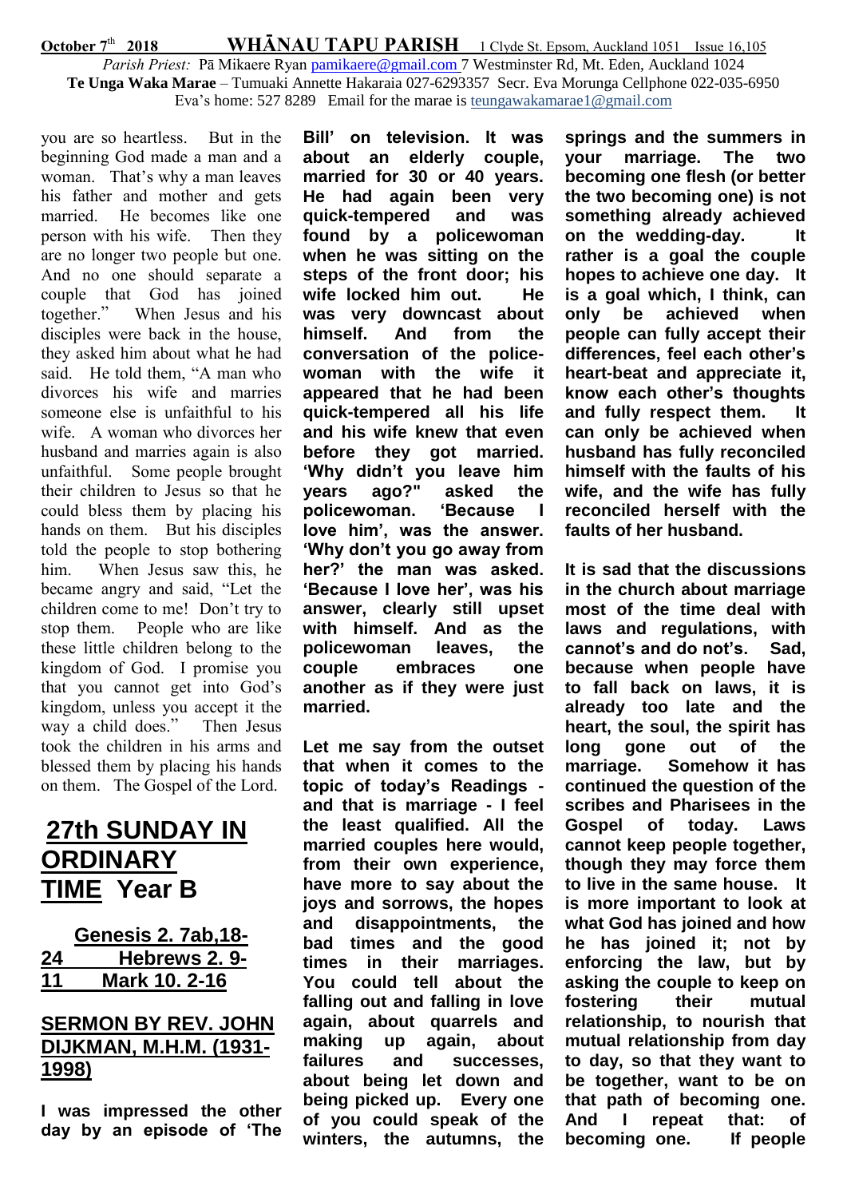### October 7<sup>th</sup> **WHĀNAU TAPU PARISH** 1 Clyde St. Epsom, Auckland 1051 Issue 16,105 Parish Priest: Pā Mikaere Ryan [pamikaere@gmail.com](mailto:pamikaere@gmail.co) 7 Westminster Rd, Mt. Eden, Auckland 1024 **Te Unga Waka Marae** – Tumuaki Annette Hakaraia 027-6293357 Secr. Eva Morunga Cellphone 022-035-6950 Eva's home: 527 8289 Email for the marae is teungawakamarae1@gmail.com

you are so heartless. But in the beginning God made a man and a woman. That's why a man leaves his father and mother and gets married. He becomes like one person with his wife. Then they are no longer two people but one. And no one should separate a couple that God has joined together." When Jesus and his disciples were back in the house, they asked him about what he had said. He told them, "A man who divorces his wife and marries someone else is unfaithful to his wife. A woman who divorces her husband and marries again is also unfaithful. Some people brought their children to Jesus so that he could bless them by placing his hands on them. But his disciples told the people to stop bothering him. When Jesus saw this, he became angry and said, "Let the children come to me! Don't try to stop them. People who are like these little children belong to the kingdom of God. I promise you that you cannot get into God's kingdom, unless you accept it the way a child does." Then Jesus took the children in his arms and blessed them by placing his hands on them. The Gospel of the Lord.

# **27th SUNDAY IN ORDINARY TIME Year B**

|    | <b>Genesis 2. 7ab, 18-</b> |
|----|----------------------------|
| 24 | Hebrews 2.9-               |
| 11 | Mark 10. 2-16              |

# **SERMON BY REV. JOHN DIJKMAN, M.H.M. (1931- 1998)**

**I was impressed the other day by an episode of 'The** 

**Bill' on television. It was about an elderly couple, married for 30 or 40 years. He had again been very quick-tempered and was found by a policewoman when he was sitting on the steps of the front door; his wife locked him out. He was very downcast about himself. And from the conversation of the policewoman with the wife it appeared that he had been quick-tempered all his life and his wife knew that even before they got married. 'Why didn't you leave him years ago?" asked the policewoman. 'Because I love him', was the answer. 'Why don't you go away from her?' the man was asked. 'Because I love her', was his answer, clearly still upset with himself. And as the policewoman leaves, the couple embraces one another as if they were just married.**

**Let me say from the outset that when it comes to the topic of today's Readings and that is marriage - I feel the least qualified. All the married couples here would, from their own experience, have more to say about the joys and sorrows, the hopes and disappointments, the bad times and the good times in their marriages. You could tell about the falling out and falling in love again, about quarrels and making up again, about failures and successes, about being let down and being picked up. Every one of you could speak of the winters, the autumns, the** 

**springs and the summers in your marriage. The two becoming one flesh (or better the two becoming one) is not something already achieved on the wedding-day. It rather is a goal the couple hopes to achieve one day. It is a goal which, I think, can only be achieved when people can fully accept their differences, feel each other's heart-beat and appreciate it, know each other's thoughts and fully respect them. It can only be achieved when husband has fully reconciled himself with the faults of his wife, and the wife has fully reconciled herself with the faults of her husband.**

**It is sad that the discussions in the church about marriage most of the time deal with laws and regulations, with cannot's and do not's. Sad, because when people have to fall back on laws, it is already too late and the heart, the soul, the spirit has long gone out of the marriage. Somehow it has continued the question of the scribes and Pharisees in the Gospel of today. Laws cannot keep people together, though they may force them to live in the same house. It is more important to look at what God has joined and how he has joined it; not by enforcing the law, but by asking the couple to keep on fostering their mutual relationship, to nourish that mutual relationship from day to day, so that they want to be together, want to be on that path of becoming one. And I repeat that: of becoming one. If people**